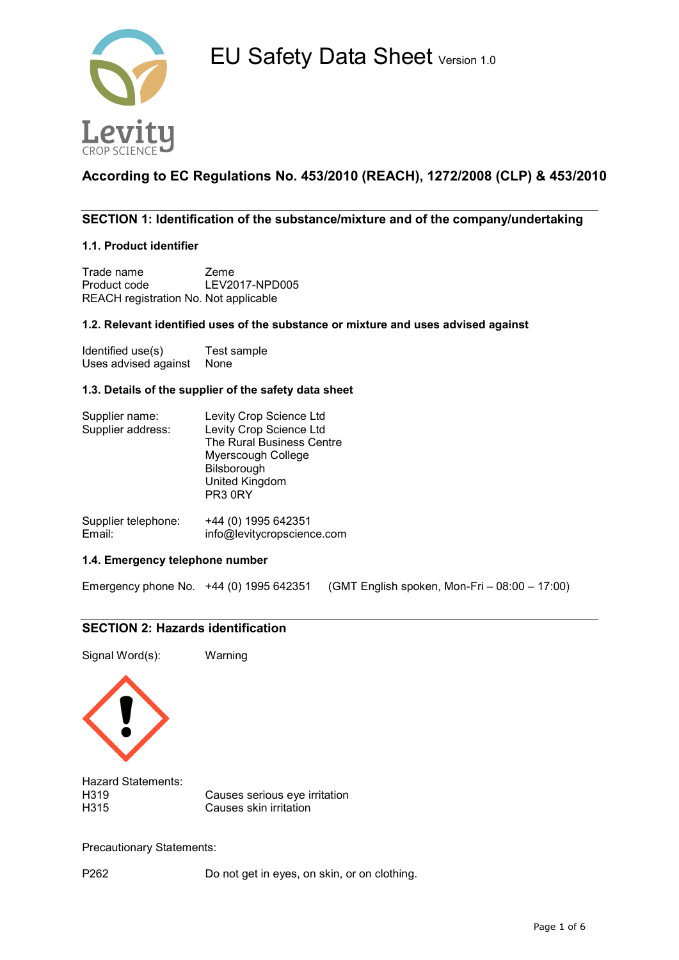



# According to EC Regulations No. 453/2010 (REACH), 1272/2008 (CLP) & 453/2010

### SECTION 1: Identification of the substance/mixture and of the company/undertaking

#### 1.1. Product identifier

Trade name Zeme Product code LEV2017-NPD005 REACH registration No. Not applicable

#### 1.2. Relevant identified uses of the substance or mixture and uses advised against

Identified use(s) Test sample Uses advised against None

#### 1.3. Details of the supplier of the safety data sheet

| Supplier name:    | Levity Crop Science Ltd   |
|-------------------|---------------------------|
| Supplier address: | Levity Crop Science Ltd   |
|                   | The Rural Business Centre |
|                   | Myerscough College        |
|                   | Bilsborough               |
|                   | United Kingdom            |
|                   | PR3 0RY                   |
|                   |                           |
|                   |                           |

| Supplier telephone: | +44 (0) 1995 642351        |
|---------------------|----------------------------|
| Email:              | info@levitycropscience.com |

#### 1.4. Emergency telephone number

|  | Emergency phone No. +44 (0) 1995 642351 (GMT English spoken, Mon-Fri - 08:00 - 17:00) |  |
|--|---------------------------------------------------------------------------------------|--|
|  |                                                                                       |  |

#### SECTION 2: Hazards identification

Signal Word(s): Warning



Hazard Statements: H319 Causes serious eye irritation<br>
H315 Causes skin irritation Causes skin irritation

Precautionary Statements:

P262 Do not get in eyes, on skin, or on clothing.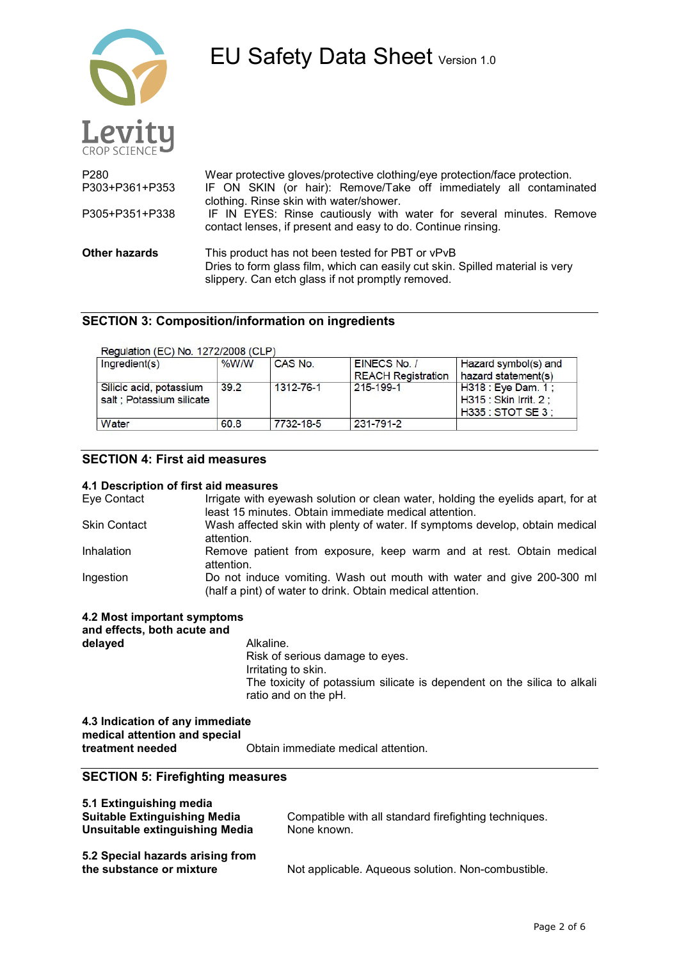

# EU Safety Data Sheet Version 1.0

| P <sub>280</sub><br>P303+P361+P353 | Wear protective gloves/protective clothing/eye protection/face protection.<br>IF ON SKIN (or hair): Remove/Take off immediately all contaminated<br>clothing. Rinse skin with water/shower. |
|------------------------------------|---------------------------------------------------------------------------------------------------------------------------------------------------------------------------------------------|
| P305+P351+P338                     | IF IN EYES: Rinse cautiously with water for several minutes. Remove<br>contact lenses, if present and easy to do. Continue rinsing.                                                         |
| <b>Other hazards</b>               | This product has not been tested for PBT or vPvB<br>Dries to form glass film, which can easily cut skin. Spilled material is very<br>slippery. Can etch glass if not promptly removed.      |

# SECTION 3: Composition/information on ingredients

Regulation (EC) No. 1272/2008 (CLP)

| Inqredient(s)                                        | %WW/W | CAS No.   | EINECS No. /<br><b>REACH Registration</b> | Hazard symbol(s) and<br>hazard statement(s)                         |
|------------------------------------------------------|-------|-----------|-------------------------------------------|---------------------------------------------------------------------|
| Silicic acid, potassium<br>salt : Potassium silicate | 39.2  | 1312-76-1 | 215-199-1                                 | H318 : Eye Dam. 1 :<br>H315 : Skin Irrit, 2 :<br>H335 : STOT SE 3 : |
| Water                                                | 60.8  | 7732-18-5 | 231-791-2                                 |                                                                     |

### SECTION 4: First aid measures

#### 4.1 Description of first aid measures

| Eye Contact  | Irrigate with eyewash solution or clean water, holding the eyelids apart, for at                                                    |
|--------------|-------------------------------------------------------------------------------------------------------------------------------------|
|              | least 15 minutes. Obtain immediate medical attention.                                                                               |
| Skin Contact | Wash affected skin with plenty of water. If symptoms develop, obtain medical<br>attention.                                          |
| Inhalation   | Remove patient from exposure, keep warm and at rest. Obtain medical<br>attention.                                                   |
| Ingestion    | Do not induce vomiting. Wash out mouth with water and give 200-300 ml<br>(half a pint) of water to drink. Obtain medical attention. |
|              |                                                                                                                                     |

| 4.2 Most important symptoms |  |  |
|-----------------------------|--|--|
| and effects, both acute and |  |  |
|                             |  |  |

delayed **Alkaline**. Risk of serious damage to eyes. Irritating to skin. The toxicity of potassium silicate is dependent on the silica to alkali ratio and on the pH.

| 4.3 Indication of any immediate |                                     |
|---------------------------------|-------------------------------------|
| medical attention and special   |                                     |
| treatment needed                | Obtain immediate medical attention. |

# SECTION 5: Firefighting measures

| 5.1 Extinguishing media<br><b>Suitable Extinguishing Media</b><br>Unsuitable extinguishing Media | Compatible with all standard firefighting techniques.<br>None known. |
|--------------------------------------------------------------------------------------------------|----------------------------------------------------------------------|
| 5.2 Special hazards arising from<br>the substance or mixture                                     | Not applicable. Aqueous solution. Non-combustible.                   |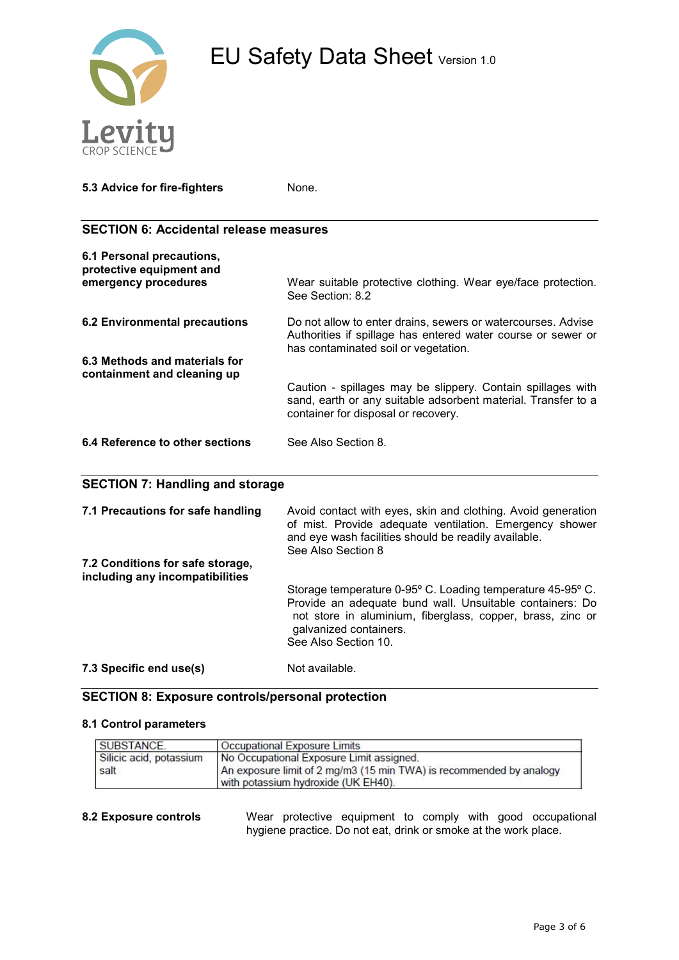

# 5.3 Advice for fire-fighters Mone.

# SECTION 6: Accidental release measures

| 6.1 Personal precautions,<br>protective equipment and               |                                                                                                                                                                                                                                        |
|---------------------------------------------------------------------|----------------------------------------------------------------------------------------------------------------------------------------------------------------------------------------------------------------------------------------|
| emergency procedures                                                | Wear suitable protective clothing. Wear eye/face protection.<br>See Section: 8.2                                                                                                                                                       |
| <b>6.2 Environmental precautions</b>                                | Do not allow to enter drains, sewers or watercourses. Advise<br>Authorities if spillage has entered water course or sewer or<br>has contaminated soil or vegetation.                                                                   |
| 6.3 Methods and materials for<br>containment and cleaning up        |                                                                                                                                                                                                                                        |
|                                                                     | Caution - spillages may be slippery. Contain spillages with<br>sand, earth or any suitable adsorbent material. Transfer to a<br>container for disposal or recovery.                                                                    |
| 6.4 Reference to other sections                                     | See Also Section 8.                                                                                                                                                                                                                    |
| <b>SECTION 7: Handling and storage</b>                              |                                                                                                                                                                                                                                        |
| 7.1 Precautions for safe handling                                   | Avoid contact with eyes, skin and clothing. Avoid generation<br>of mist. Provide adequate ventilation. Emergency shower<br>and eye wash facilities should be readily available.<br>See Also Section 8                                  |
| 7.2 Conditions for safe storage,<br>including any incompatibilities |                                                                                                                                                                                                                                        |
|                                                                     | Storage temperature 0-95° C. Loading temperature 45-95° C.<br>Provide an adequate bund wall. Unsuitable containers: Do<br>not store in aluminium, fiberglass, copper, brass, zinc or<br>galvanized containers.<br>See Also Section 10. |
| 7.3 Specific end use(s)                                             | Not available.                                                                                                                                                                                                                         |

# SECTION 8: Exposure controls/personal protection

#### 8.1 Control parameters

| SUBSTANCE.              | Occupational Exposure Limits                                                                               |
|-------------------------|------------------------------------------------------------------------------------------------------------|
| Silicic acid, potassium | No Occupational Exposure Limit assigned.                                                                   |
| salt                    | An exposure limit of 2 mg/m3 (15 min TWA) is recommended by analogy<br>with potassium hydroxide (UK EH40). |

#### 8.2 Exposure controls Wear protective equipment to comply with good occupational hygiene practice. Do not eat, drink or smoke at the work place.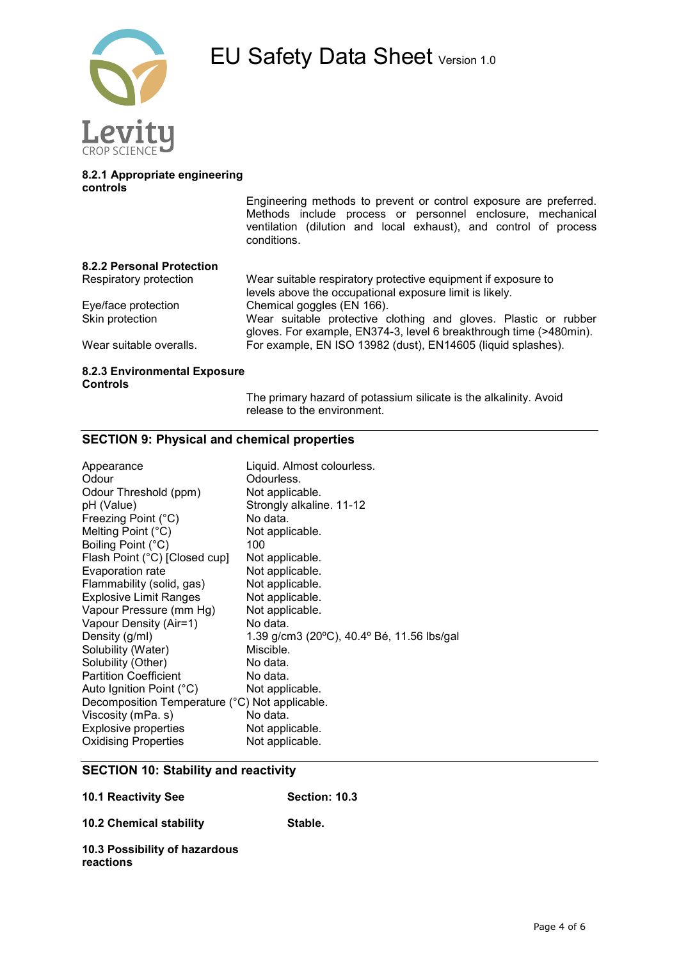



8.2.1 Appropriate engineering controls

Engineering methods to prevent or control exposure are preferred. Methods include process or personnel enclosure, mechanical ventilation (dilution and local exhaust), and control of process conditions.

| 8.2.2 Personal Protection |                                                                                                                                       |
|---------------------------|---------------------------------------------------------------------------------------------------------------------------------------|
| Respiratory protection    | Wear suitable respiratory protective equipment if exposure to                                                                         |
|                           | levels above the occupational exposure limit is likely.                                                                               |
| Eye/face protection       | Chemical goggles (EN 166).                                                                                                            |
| Skin protection           | Wear suitable protective clothing and gloves. Plastic or rubber<br>gloves. For example, EN374-3, level 6 breakthrough time (>480min). |
| Wear suitable overalls.   | For example, EN ISO 13982 (dust), EN14605 (liquid splashes).                                                                          |

#### 8.2.3 Environmental Exposure **Controls**

The primary hazard of potassium silicate is the alkalinity. Avoid release to the environment.

# SECTION 9: Physical and chemical properties

| Appearance<br>Odour<br>Odour Threshold (ppm)<br>pH (Value)<br>Freezing Point (°C)<br>Melting Point $(^{\circ}C)$<br>Boiling Point (°C)<br>Flash Point (°C) [Closed cup]<br>Evaporation rate<br>Flammability (solid, gas)<br><b>Explosive Limit Ranges</b><br>Vapour Pressure (mm Hg)<br>Vapour Density (Air=1)<br>Density (g/ml)<br>Solubility (Water)<br>Solubility (Other)<br><b>Partition Coefficient</b><br>Auto Ignition Point (°C)<br>Decomposition Temperature (°C) Not applicable.<br>Viscosity (mPa. s) | Liquid. Almost colourless.<br>Odourless.<br>Not applicable.<br>Strongly alkaline. 11-12<br>No data.<br>Not applicable.<br>100<br>Not applicable.<br>Not applicable.<br>Not applicable.<br>Not applicable.<br>Not applicable.<br>No data.<br>1.39 g/cm3 (20°C), 40.4° Bé, 11.56 lbs/gal<br>Miscible.<br>No data.<br>No data.<br>Not applicable.<br>No data. |
|------------------------------------------------------------------------------------------------------------------------------------------------------------------------------------------------------------------------------------------------------------------------------------------------------------------------------------------------------------------------------------------------------------------------------------------------------------------------------------------------------------------|------------------------------------------------------------------------------------------------------------------------------------------------------------------------------------------------------------------------------------------------------------------------------------------------------------------------------------------------------------|
| <b>Explosive properties</b>                                                                                                                                                                                                                                                                                                                                                                                                                                                                                      | Not applicable.                                                                                                                                                                                                                                                                                                                                            |
| <b>Oxidising Properties</b>                                                                                                                                                                                                                                                                                                                                                                                                                                                                                      | Not applicable.                                                                                                                                                                                                                                                                                                                                            |

#### SECTION 10: Stability and reactivity

10.1 Reactivity See Section: 10.3

10.2 Chemical stability Stable.

10.3 Possibility of hazardous reactions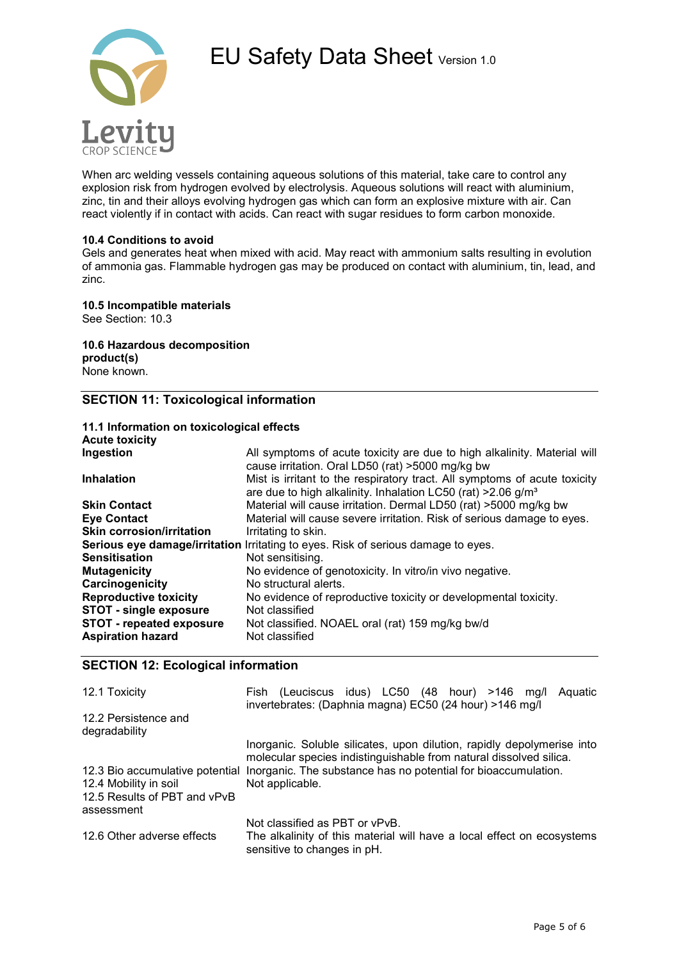# EU Safety Data Sheet Version 1.0



When arc welding vessels containing aqueous solutions of this material, take care to control any explosion risk from hydrogen evolved by electrolysis. Aqueous solutions will react with aluminium, zinc, tin and their alloys evolving hydrogen gas which can form an explosive mixture with air. Can react violently if in contact with acids. Can react with sugar residues to form carbon monoxide.

#### 10.4 Conditions to avoid

Gels and generates heat when mixed with acid. May react with ammonium salts resulting in evolution of ammonia gas. Flammable hydrogen gas may be produced on contact with aluminium, tin, lead, and zinc.

#### 10.5 Incompatible materials

See Section: 10.3

#### 10.6 Hazardous decomposition product(s)

None known.

### SECTION 11: Toxicological information

#### 11.1 Information on toxicological effects Acute toxicity

| <b>ACULE LUAIGILY</b>            |                                                                                                                                                        |
|----------------------------------|--------------------------------------------------------------------------------------------------------------------------------------------------------|
| Ingestion                        | All symptoms of acute toxicity are due to high alkalinity. Material will<br>cause irritation. Oral LD50 (rat) >5000 mg/kg bw                           |
| <b>Inhalation</b>                | Mist is irritant to the respiratory tract. All symptoms of acute toxicity<br>are due to high alkalinity. Inhalation LC50 (rat) > 2.06 g/m <sup>3</sup> |
| <b>Skin Contact</b>              | Material will cause irritation. Dermal LD50 (rat) >5000 mg/kg bw                                                                                       |
| <b>Eye Contact</b>               | Material will cause severe irritation. Risk of serious damage to eyes.                                                                                 |
| <b>Skin corrosion/irritation</b> | Irritating to skin.                                                                                                                                    |
|                                  | Serious eye damage/irritation Irritating to eyes. Risk of serious damage to eyes.                                                                      |
| <b>Sensitisation</b>             | Not sensitising.                                                                                                                                       |
| <b>Mutagenicity</b>              | No evidence of genotoxicity. In vitro/in vivo negative.                                                                                                |
| Carcinogenicity                  | No structural alerts.                                                                                                                                  |
| <b>Reproductive toxicity</b>     | No evidence of reproductive toxicity or developmental toxicity.                                                                                        |
| <b>STOT - single exposure</b>    | Not classified                                                                                                                                         |
| <b>STOT - repeated exposure</b>  | Not classified. NOAEL oral (rat) 159 mg/kg bw/d                                                                                                        |
| <b>Aspiration hazard</b>         | Not classified                                                                                                                                         |
|                                  |                                                                                                                                                        |

### SECTION 12: Ecological information

| 12.1 Toxicity                                                                                          | Fish<br>invertebrates: (Daphnia magna) EC50 (24 hour) >146 mg/l                                                                                                                                                                   |  | (Leuciscus idus) LC50 (48 hour) >146 mg/l | Aquatic                                                                |  |
|--------------------------------------------------------------------------------------------------------|-----------------------------------------------------------------------------------------------------------------------------------------------------------------------------------------------------------------------------------|--|-------------------------------------------|------------------------------------------------------------------------|--|
| 12.2 Persistence and<br>degradability                                                                  |                                                                                                                                                                                                                                   |  |                                           |                                                                        |  |
| 12.3 Bio accumulative potential<br>12.4 Mobility in soil<br>12.5 Results of PBT and vPvB<br>assessment | Inorganic. Soluble silicates, upon dilution, rapidly depolymerise into<br>molecular species indistinguishable from natural dissolved silica.<br>Inorganic. The substance has no potential for bioaccumulation.<br>Not applicable. |  |                                           |                                                                        |  |
| 12.6 Other adverse effects                                                                             | Not classified as PBT or vPvB.<br>sensitive to changes in pH.                                                                                                                                                                     |  |                                           | The alkalinity of this material will have a local effect on ecosystems |  |